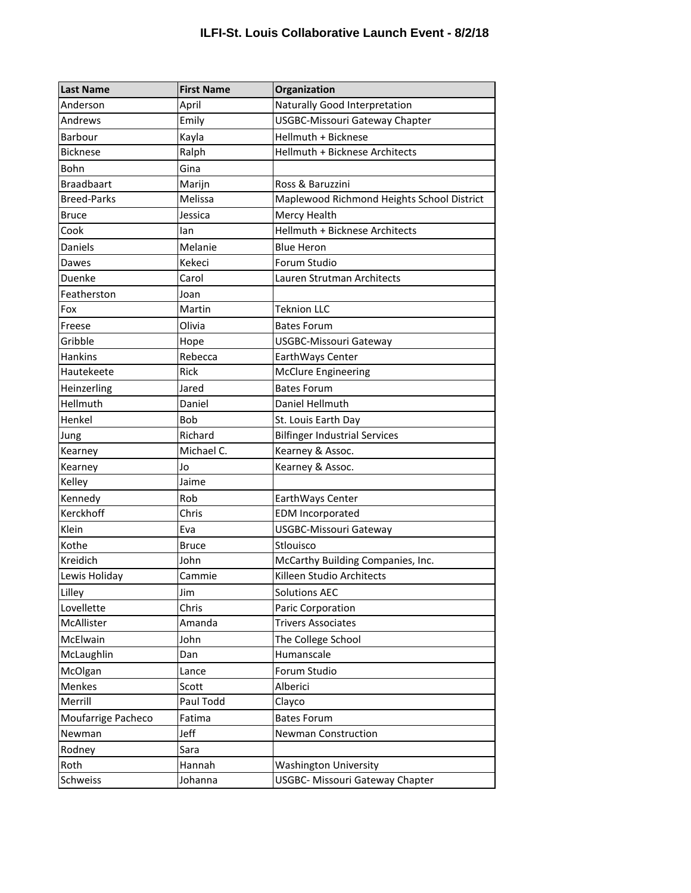## **ILFI-St. Louis Collaborative Launch Event - 8/2/18**

| <b>Last Name</b>   | <b>First Name</b> | Organization                               |
|--------------------|-------------------|--------------------------------------------|
| Anderson           | April             | Naturally Good Interpretation              |
| Andrews            | Emily             | <b>USGBC-Missouri Gateway Chapter</b>      |
| Barbour            | Kayla             | Hellmuth + Bicknese                        |
| <b>Bicknese</b>    | Ralph             | Hellmuth + Bicknese Architects             |
| Bohn               | Gina              |                                            |
| <b>Braadbaart</b>  | Marijn            | Ross & Baruzzini                           |
| <b>Breed-Parks</b> | Melissa           | Maplewood Richmond Heights School District |
| Bruce              | Jessica           | Mercy Health                               |
| Cook               | lan               | Hellmuth + Bicknese Architects             |
| <b>Daniels</b>     | Melanie           | <b>Blue Heron</b>                          |
| Dawes              | Kekeci            | Forum Studio                               |
| Duenke             | Carol             | Lauren Strutman Architects                 |
| Featherston        | Joan              |                                            |
| Fox                | Martin            | <b>Teknion LLC</b>                         |
| Freese             | Olivia            | <b>Bates Forum</b>                         |
| Gribble            | Hope              | <b>USGBC-Missouri Gateway</b>              |
| <b>Hankins</b>     | Rebecca           | EarthWays Center                           |
| Hautekeete         | <b>Rick</b>       | <b>McClure Engineering</b>                 |
| Heinzerling        | Jared             | <b>Bates Forum</b>                         |
| Hellmuth           | Daniel            | Daniel Hellmuth                            |
| Henkel             | <b>Bob</b>        | St. Louis Earth Day                        |
| Jung               | Richard           | <b>Bilfinger Industrial Services</b>       |
| Kearney            | Michael C.        | Kearney & Assoc.                           |
| Kearney            | Jo                | Kearney & Assoc.                           |
| Kelley             | Jaime             |                                            |
| Kennedy            | Rob               | EarthWays Center                           |
| Kerckhoff          | Chris             | <b>EDM Incorporated</b>                    |
| Klein              | Eva               | USGBC-Missouri Gateway                     |
| Kothe              | <b>Bruce</b>      | Stlouisco                                  |
| Kreidich           | John              | McCarthy Building Companies, Inc.          |
| Lewis Holiday      | Cammie            | Killeen Studio Architects                  |
| Lilley             | Jim               | <b>Solutions AEC</b>                       |
| Lovellette         | Chris             | Paric Corporation                          |
| McAllister         | Amanda            | <b>Trivers Associates</b>                  |
| McElwain           | John              | The College School                         |
| McLaughlin         | Dan               | Humanscale                                 |
| McOlgan            | Lance             | Forum Studio                               |
| Menkes             | Scott             | Alberici                                   |
| Merrill            | Paul Todd         | Clayco                                     |
| Moufarrige Pacheco | Fatima            | <b>Bates Forum</b>                         |
| Newman             | Jeff              | Newman Construction                        |
| Rodney             | Sara              |                                            |
| Roth               | Hannah            | <b>Washington University</b>               |
| Schweiss           | Johanna           | <b>USGBC- Missouri Gateway Chapter</b>     |